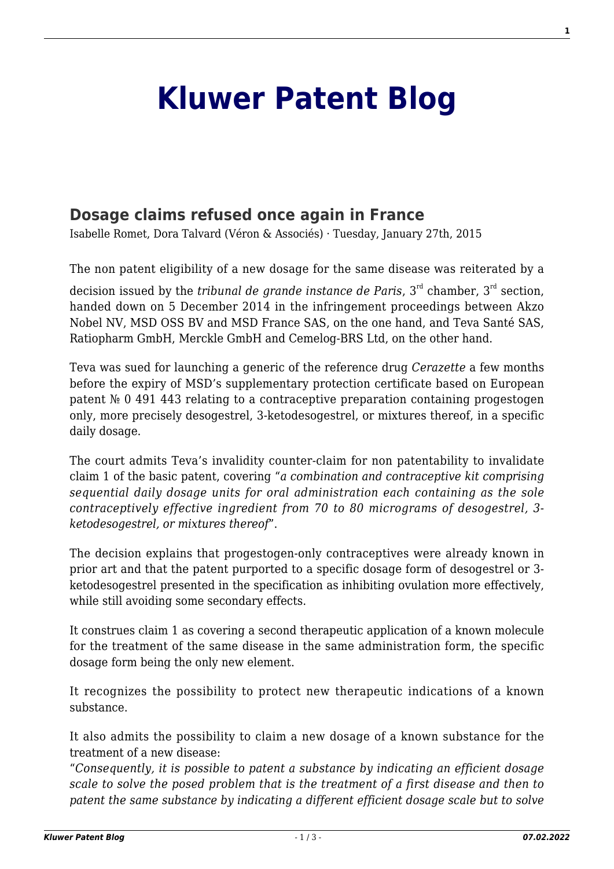## **[Kluwer Patent Blog](http://patentblog.kluweriplaw.com/)**

## **[Dosage claims refused once again in France](http://patentblog.kluweriplaw.com/2015/01/27/dosage-claims-refused-once-again-in-france-5/)**

Isabelle Romet, Dora Talvard (Véron & Associés) · Tuesday, January 27th, 2015

The non patent eligibility of a new dosage for the same disease was reiterated by a

decision issued by the *tribunal de grande instance de Paris*, 3rd chamber, 3rd section, handed down on 5 December 2014 in the infringement proceedings between Akzo Nobel NV, MSD OSS BV and MSD France SAS, on the one hand, and Teva Santé SAS, Ratiopharm GmbH, Merckle GmbH and Cemelog-BRS Ltd, on the other hand.

Teva was sued for launching a generic of the reference drug *Cerazette* a few months before the expiry of MSD's supplementary protection certificate based on European patent № 0 491 443 relating to a contraceptive preparation containing progestogen only, more precisely desogestrel, 3-ketodesogestrel, or mixtures thereof, in a specific daily dosage.

The court admits Teva's invalidity counter-claim for non patentability to invalidate claim 1 of the basic patent, covering "*a combination and contraceptive kit comprising sequential daily dosage units for oral administration each containing as the sole contraceptively effective ingredient from 70 to 80 micrograms of desogestrel, 3 ketodesogestrel, or mixtures thereof*".

The decision explains that progestogen-only contraceptives were already known in prior art and that the patent purported to a specific dosage form of desogestrel or 3 ketodesogestrel presented in the specification as inhibiting ovulation more effectively, while still avoiding some secondary effects.

It construes claim 1 as covering a second therapeutic application of a known molecule for the treatment of the same disease in the same administration form, the specific dosage form being the only new element.

It recognizes the possibility to protect new therapeutic indications of a known substance.

It also admits the possibility to claim a new dosage of a known substance for the treatment of a new disease:

"*Consequently, it is possible to patent a substance by indicating an efficient dosage scale to solve the posed problem that is the treatment of a first disease and then to patent the same substance by indicating a different efficient dosage scale but to solve*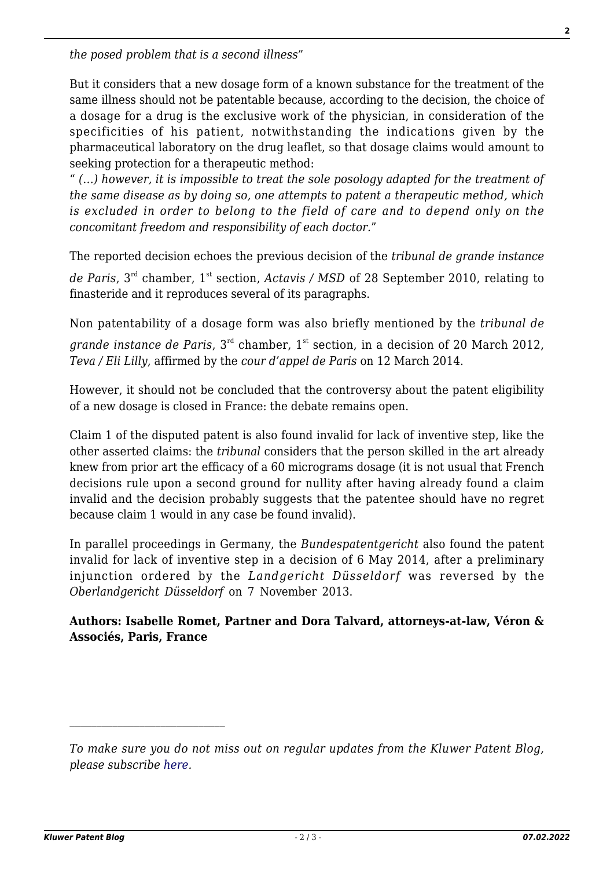*the posed problem that is a second illness*"

But it considers that a new dosage form of a known substance for the treatment of the same illness should not be patentable because, according to the decision, the choice of a dosage for a drug is the exclusive work of the physician, in consideration of the specificities of his patient, notwithstanding the indications given by the pharmaceutical laboratory on the drug leaflet, so that dosage claims would amount to seeking protection for a therapeutic method:

" *(…) however, it is impossible to treat the sole posology adapted for the treatment of the same disease as by doing so, one attempts to patent a therapeutic method, which is excluded in order to belong to the field of care and to depend only on the concomitant freedom and responsibility of each doctor.*"

The reported decision echoes the previous decision of the *tribunal de grande instance* de Paris, 3<sup>rd</sup> chamber, 1<sup>st</sup> section, *Actavis / MSD* of 28 September 2010, relating to finasteride and it reproduces several of its paragraphs.

Non patentability of a dosage form was also briefly mentioned by the *tribunal de grande instance de Paris*, 3<sup>rd</sup> chamber, 1<sup>st</sup> section, in a decision of 20 March 2012, *Teva / Eli Lilly*, affirmed by the *cour d'appel de Paris* on 12 March 2014.

However, it should not be concluded that the controversy about the patent eligibility of a new dosage is closed in France: the debate remains open.

Claim 1 of the disputed patent is also found invalid for lack of inventive step, like the other asserted claims: the *tribunal* considers that the person skilled in the art already knew from prior art the efficacy of a 60 micrograms dosage (it is not usual that French decisions rule upon a second ground for nullity after having already found a claim invalid and the decision probably suggests that the patentee should have no regret because claim 1 would in any case be found invalid).

In parallel proceedings in Germany, the *Bundespatentgericht* also found the patent invalid for lack of inventive step in a decision of 6 May 2014, after a preliminary injunction ordered by the *Landgericht Düsseldorf* was reversed by the *Oberlandgericht Düsseldorf* on 7 November 2013.

**Authors: Isabelle Romet, Partner and Dora Talvard, attorneys-at-law, Véron & Associés, Paris, France**

 $\mathcal{L}_\text{max}$ 

*To make sure you do not miss out on regular updates from the Kluwer Patent Blog, please subscribe [here.](http://patentblog.kluweriplaw.com/newsletter)*